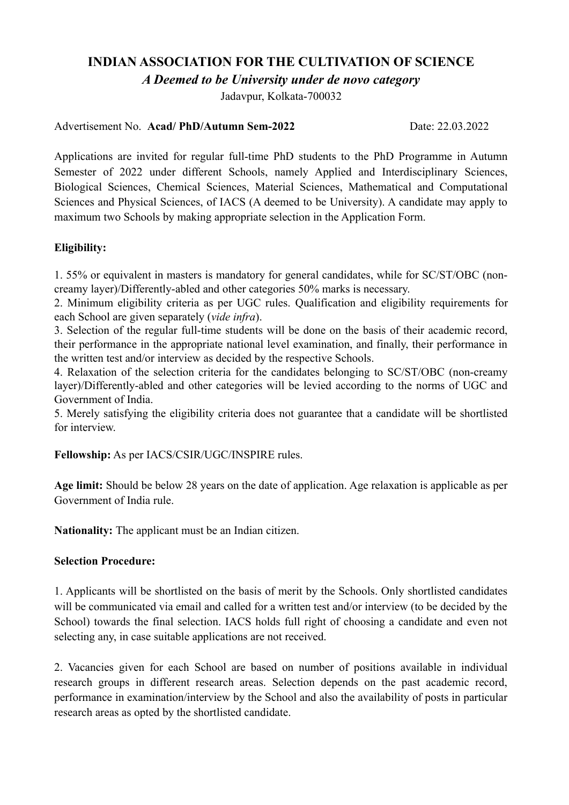### **INDIAN ASSOCIATION FOR THE CULTIVATION OF SCIENCE**

*A Deemed to be University under de novo category*

Jadavpur, Kolkata-700032

#### Advertisement No. **Acad/ PhD/Autumn Sem-2022** Date: 22.03.2022

Applications are invited for regular full-time PhD students to the PhD Programme in Autumn Semester of 2022 under different Schools, namely Applied and Interdisciplinary Sciences, Biological Sciences, Chemical Sciences, Material Sciences, Mathematical and Computational Sciences and Physical Sciences, of IACS (A deemed to be University). A candidate may apply to maximum two Schools by making appropriate selection in the Application Form.

### **Eligibility:**

1. 55% or equivalent in masters is mandatory for general candidates, while for SC/ST/OBC (noncreamy layer)/Differently-abled and other categories 50% marks is necessary.

2. Minimum eligibility criteria as per UGC rules. Qualification and eligibility requirements for each School are given separately (*vide infra*).

3. Selection of the regular full-time students will be done on the basis of their academic record, their performance in the appropriate national level examination, and finally, their performance in the written test and/or interview as decided by the respective Schools.

4. Relaxation of the selection criteria for the candidates belonging to SC/ST/OBC (non-creamy layer)/Differently-abled and other categories will be levied according to the norms of UGC and Government of India.

5. Merely satisfying the eligibility criteria does not guarantee that a candidate will be shortlisted for interview.

**Fellowship:** As per IACS/CSIR/UGC/INSPIRE rules.

**Age limit:** Should be below 28 years on the date of application. Age relaxation is applicable as per Government of India rule.

**Nationality:** The applicant must be an Indian citizen.

#### **Selection Procedure:**

1. Applicants will be shortlisted on the basis of merit by the Schools. Only shortlisted candidates will be communicated via email and called for a written test and/or interview (to be decided by the School) towards the final selection. IACS holds full right of choosing a candidate and even not selecting any, in case suitable applications are not received.

2. Vacancies given for each School are based on number of positions available in individual research groups in different research areas. Selection depends on the past academic record, performance in examination/interview by the School and also the availability of posts in particular research areas as opted by the shortlisted candidate.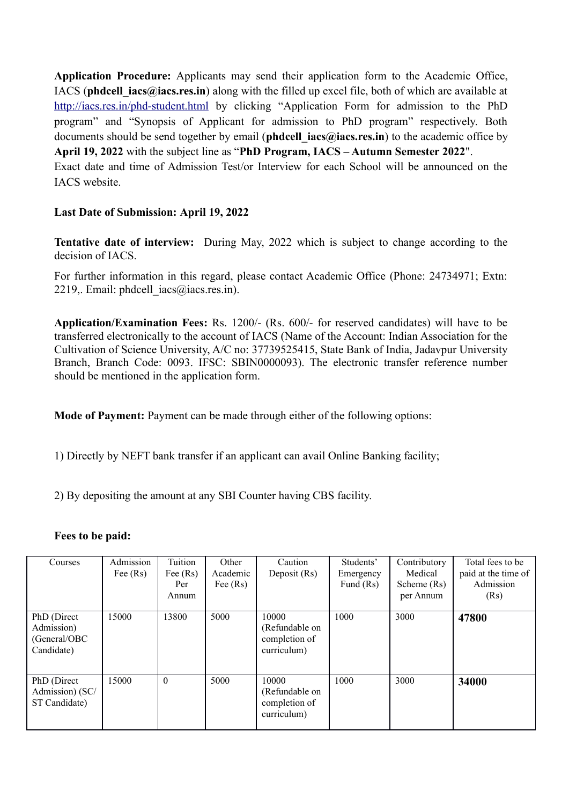**Application Procedure:** Applicants may send their application form to the Academic Office, IACS (**phdcell iacs@iacs.res.in**) along with the filled up excel file, both of which are available at <http://iacs.res.in/phd-student.html> by clicking "Application Form for admission to the PhD program" and "Synopsis of Applicant for admission to PhD program" respectively. Both documents should be send together by email (**phdcell iacs@iacs.res.in**) to the academic office by **April 19, 2022** with the subject line as "**PhD Program, IACS – Autumn Semester 2022**". Exact date and time of Admission Test/or Interview for each School will be announced on the IACS website.

#### **Last Date of Submission: April 19, 2022**

**Tentative date of interview:** During May, 2022 which is subject to change according to the decision of IACS.

For further information in this regard, please contact Academic Office (Phone: 24734971; Extn: 2219, Email: phdcell  $iacs@iacs.res.in$ ).

**Application/Examination Fees:** Rs. 1200/- (Rs. 600/- for reserved candidates) will have to be transferred electronically to the account of IACS (Name of the Account: Indian Association for the Cultivation of Science University, A/C no: 37739525415, State Bank of India, Jadavpur University Branch, Branch Code: 0093. IFSC: SBIN0000093). The electronic transfer reference number should be mentioned in the application form.

**Mode of Payment:** Payment can be made through either of the following options:

1) Directly by NEFT bank transfer if an applicant can avail Online Banking facility;

2) By depositing the amount at any SBI Counter having CBS facility.

#### **Fees to be paid:**

| Courses                                                 | Admission<br>Fee $(Rs)$ | Tuition<br>Fee $(Rs)$<br>Per<br>Annum | Other<br>Academic<br>Fee $(Rs)$ | Caution<br>Deposit (Rs)                                 | Students'<br>Emergency<br>Fund $(Rs)$ | Contributory<br>Medical<br>Scheme (Rs)<br>per Annum | Total fees to be<br>paid at the time of<br>Admission<br>(Rs) |
|---------------------------------------------------------|-------------------------|---------------------------------------|---------------------------------|---------------------------------------------------------|---------------------------------------|-----------------------------------------------------|--------------------------------------------------------------|
| PhD (Direct<br>Admission)<br>(General/OBC<br>Candidate) | 15000                   | 13800                                 | 5000                            | 10000<br>(Refundable on<br>completion of<br>curriculum) | 1000                                  | 3000                                                | 47800                                                        |
| PhD (Direct)<br>Admission) (SC/<br>ST Candidate)        | 15000                   | $\theta$                              | 5000                            | 10000<br>(Refundable on<br>completion of<br>curriculum) | 1000                                  | 3000                                                | 34000                                                        |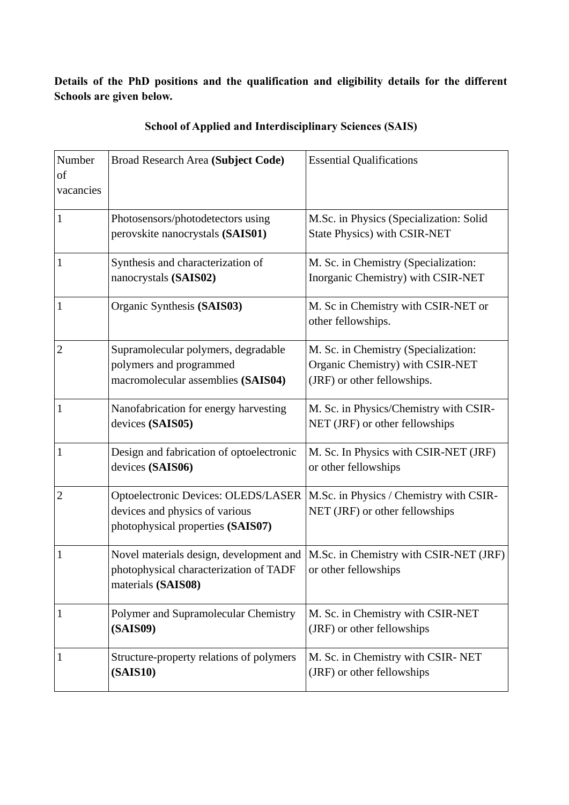**Details of the PhD positions and the qualification and eligibility details for the different Schools are given below.** 

| Number<br>of<br>vacancies | Broad Research Area (Subject Code)                                                                         | <b>Essential Qualifications</b>                                                                         |
|---------------------------|------------------------------------------------------------------------------------------------------------|---------------------------------------------------------------------------------------------------------|
| $\mathbf{1}$              | Photosensors/photodetectors using<br>perovskite nanocrystals (SAIS01)                                      | M.Sc. in Physics (Specialization: Solid<br><b>State Physics) with CSIR-NET</b>                          |
| $\mathbf{1}$              | Synthesis and characterization of<br>nanocrystals (SAIS02)                                                 | M. Sc. in Chemistry (Specialization:<br>Inorganic Chemistry) with CSIR-NET                              |
| $\mathbf{1}$              | Organic Synthesis (SAIS03)                                                                                 | M. Sc in Chemistry with CSIR-NET or<br>other fellowships.                                               |
| $\overline{2}$            | Supramolecular polymers, degradable<br>polymers and programmed<br>macromolecular assemblies (SAIS04)       | M. Sc. in Chemistry (Specialization:<br>Organic Chemistry) with CSIR-NET<br>(JRF) or other fellowships. |
| $\mathbf{1}$              | Nanofabrication for energy harvesting<br>devices (SAIS05)                                                  | M. Sc. in Physics/Chemistry with CSIR-<br>NET (JRF) or other fellowships                                |
| $\mathbf{1}$              | Design and fabrication of optoelectronic<br>devices (SAIS06)                                               | M. Sc. In Physics with CSIR-NET (JRF)<br>or other fellowships                                           |
| $\overline{2}$            | Optoelectronic Devices: OLEDS/LASER<br>devices and physics of various<br>photophysical properties (SAIS07) | M.Sc. in Physics / Chemistry with CSIR-<br>NET (JRF) or other fellowships                               |
| $\mathbf{1}$              | Novel materials design, development and<br>photophysical characterization of TADF<br>materials (SAIS08)    | M.Sc. in Chemistry with CSIR-NET (JRF)<br>or other fellowships                                          |
| $\mathbf{1}$              | Polymer and Supramolecular Chemistry<br><b>(SAIS09)</b>                                                    | M. Sc. in Chemistry with CSIR-NET<br>(JRF) or other fellowships                                         |
| $\mathbf{1}$              | Structure-property relations of polymers<br><b>(SAIS10)</b>                                                | M. Sc. in Chemistry with CSIR-NET<br>(JRF) or other fellowships                                         |

### **School of Applied and Interdisciplinary Sciences (SAIS)**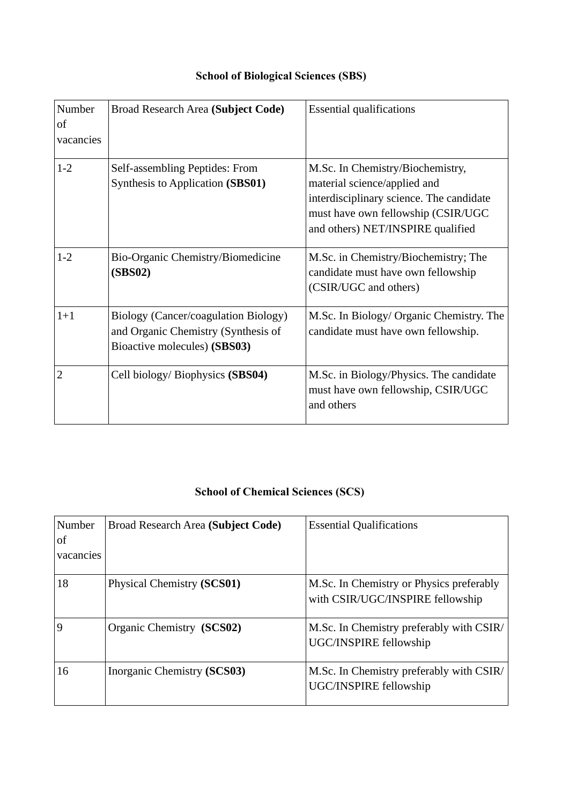| Number<br>of<br>vacancies | Broad Research Area (Subject Code)                                                                          | <b>Essential qualifications</b>                                                                                                                                                          |
|---------------------------|-------------------------------------------------------------------------------------------------------------|------------------------------------------------------------------------------------------------------------------------------------------------------------------------------------------|
| $1 - 2$                   | Self-assembling Peptides: From<br>Synthesis to Application (SBS01)                                          | M.Sc. In Chemistry/Biochemistry,<br>material science/applied and<br>interdisciplinary science. The candidate<br>must have own fellowship (CSIR/UGC)<br>and others) NET/INSPIRE qualified |
| $1 - 2$                   | Bio-Organic Chemistry/Biomedicine<br>(SBS02)                                                                | M.Sc. in Chemistry/Biochemistry; The<br>candidate must have own fellowship<br>(CSIR/UGC and others)                                                                                      |
| $1+1$                     | Biology (Cancer/coagulation Biology)<br>and Organic Chemistry (Synthesis of<br>Bioactive molecules) (SBS03) | M.Sc. In Biology/ Organic Chemistry. The<br>candidate must have own fellowship.                                                                                                          |
| 2                         | Cell biology/ Biophysics (SBS04)                                                                            | M.Sc. in Biology/Physics. The candidate<br>must have own fellowship, CSIR/UGC<br>and others                                                                                              |

# **School of Chemical Sciences (SCS)**

| Number<br>of<br>vacancies | Broad Research Area (Subject Code) | <b>Essential Qualifications</b>                                              |
|---------------------------|------------------------------------|------------------------------------------------------------------------------|
| 18                        | Physical Chemistry (SCS01)         | M.Sc. In Chemistry or Physics preferably<br>with CSIR/UGC/INSPIRE fellowship |
| 9                         | Organic Chemistry (SCS02)          | M.Sc. In Chemistry preferably with CSIR/<br>UGC/INSPIRE fellowship           |
| 16                        | Inorganic Chemistry (SCS03)        | M.Sc. In Chemistry preferably with CSIR/<br>UGC/INSPIRE fellowship           |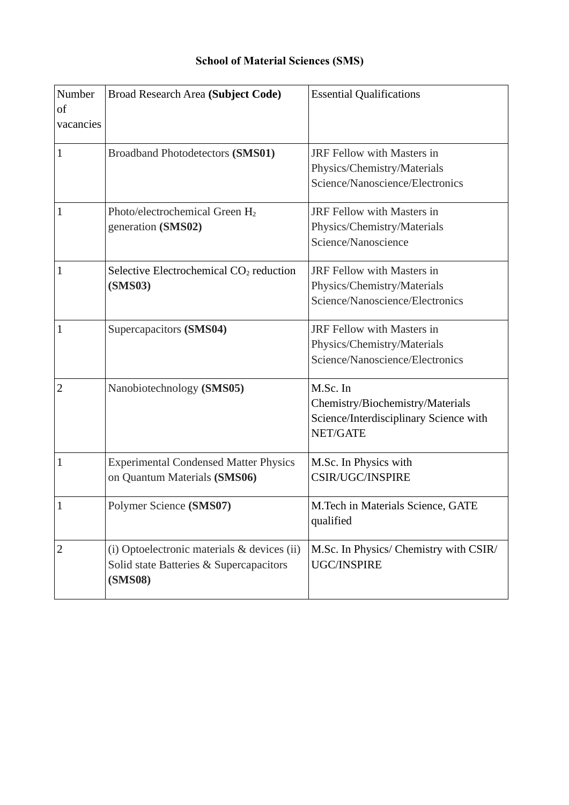### **School of Material Sciences (SMS)**

| Number<br>of<br>vacancies | Broad Research Area (Subject Code)                                                                       | <b>Essential Qualifications</b>                                                                           |
|---------------------------|----------------------------------------------------------------------------------------------------------|-----------------------------------------------------------------------------------------------------------|
| $\mathbf{1}$              | <b>Broadband Photodetectors (SMS01)</b>                                                                  | JRF Fellow with Masters in<br>Physics/Chemistry/Materials<br>Science/Nanoscience/Electronics              |
| $\overline{1}$            | Photo/electrochemical Green H <sub>2</sub><br>generation (SMS02)                                         | JRF Fellow with Masters in<br>Physics/Chemistry/Materials<br>Science/Nanoscience                          |
| $\mathbf{1}$              | Selective Electrochemical CO <sub>2</sub> reduction<br><b>(SMS03)</b>                                    | JRF Fellow with Masters in<br>Physics/Chemistry/Materials<br>Science/Nanoscience/Electronics              |
| $\mathbf{1}$              | Supercapacitors (SMS04)                                                                                  | JRF Fellow with Masters in<br>Physics/Chemistry/Materials<br>Science/Nanoscience/Electronics              |
| $\overline{2}$            | Nanobiotechnology (SMS05)                                                                                | M.Sc. In<br>Chemistry/Biochemistry/Materials<br>Science/Interdisciplinary Science with<br><b>NET/GATE</b> |
| $\mathbf{1}$              | <b>Experimental Condensed Matter Physics</b><br>on Quantum Materials (SMS06)                             | M.Sc. In Physics with<br><b>CSIR/UGC/INSPIRE</b>                                                          |
| $\mathbf{1}$              | Polymer Science (SMS07)                                                                                  | M. Tech in Materials Science, GATE<br>qualified                                                           |
| $\overline{2}$            | (i) Optoelectronic materials & devices (ii)<br>Solid state Batteries & Supercapacitors<br><b>(SMS08)</b> | M.Sc. In Physics/ Chemistry with CSIR/<br><b>UGC/INSPIRE</b>                                              |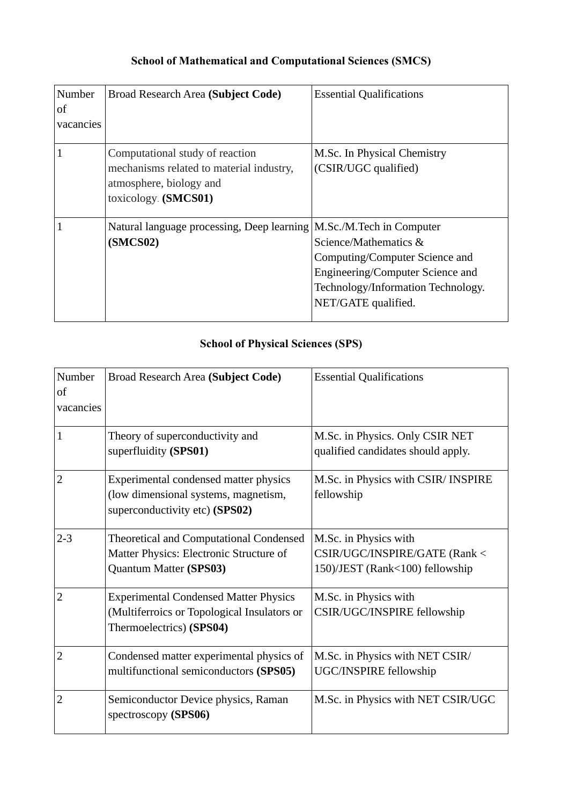# **School of Mathematical and Computational Sciences (SMCS)**

| Number<br>of<br>vacancies | Broad Research Area (Subject Code)                                                                                            | <b>Essential Qualifications</b>                                                                                                                          |
|---------------------------|-------------------------------------------------------------------------------------------------------------------------------|----------------------------------------------------------------------------------------------------------------------------------------------------------|
|                           | Computational study of reaction<br>mechanisms related to material industry,<br>atmosphere, biology and<br>toxicology (SMCS01) | M.Sc. In Physical Chemistry<br>(CSIR/UGC qualified)                                                                                                      |
|                           | Natural language processing, Deep learning   M.Sc./M.Tech in Computer<br>(SMCS02)                                             | Science/Mathematics &<br>Computing/Computer Science and<br>Engineering/Computer Science and<br>Technology/Information Technology.<br>NET/GATE qualified. |

### **School of Physical Sciences (SPS)**

| Number<br>of<br>vacancies | Broad Research Area (Subject Code)                                                                                      | <b>Essential Qualifications</b>                                                           |
|---------------------------|-------------------------------------------------------------------------------------------------------------------------|-------------------------------------------------------------------------------------------|
| 1                         | Theory of superconductivity and<br>superfluidity (SPS01)                                                                | M.Sc. in Physics. Only CSIR NET<br>qualified candidates should apply.                     |
| $\overline{2}$            | Experimental condensed matter physics<br>(low dimensional systems, magnetism,<br>superconductivity etc) (SPS02)         | M.Sc. in Physics with CSIR/ INSPIRE<br>fellowship                                         |
| $2 - 3$                   | <b>Theoretical and Computational Condensed</b><br>Matter Physics: Electronic Structure of<br>Quantum Matter (SPS03)     | M.Sc. in Physics with<br>CSIR/UGC/INSPIRE/GATE (Rank <<br>150)/JEST (Rank<100) fellowship |
| $\overline{2}$            | <b>Experimental Condensed Matter Physics</b><br>(Multiferroics or Topological Insulators or<br>Thermoelectrics) (SPS04) | M.Sc. in Physics with<br>CSIR/UGC/INSPIRE fellowship                                      |
| 2                         | Condensed matter experimental physics of<br>multifunctional semiconductors (SPS05)                                      | M.Sc. in Physics with NET CSIR/<br>UGC/INSPIRE fellowship                                 |
| $\overline{2}$            | Semiconductor Device physics, Raman<br>spectroscopy (SPS06)                                                             | M.Sc. in Physics with NET CSIR/UGC                                                        |